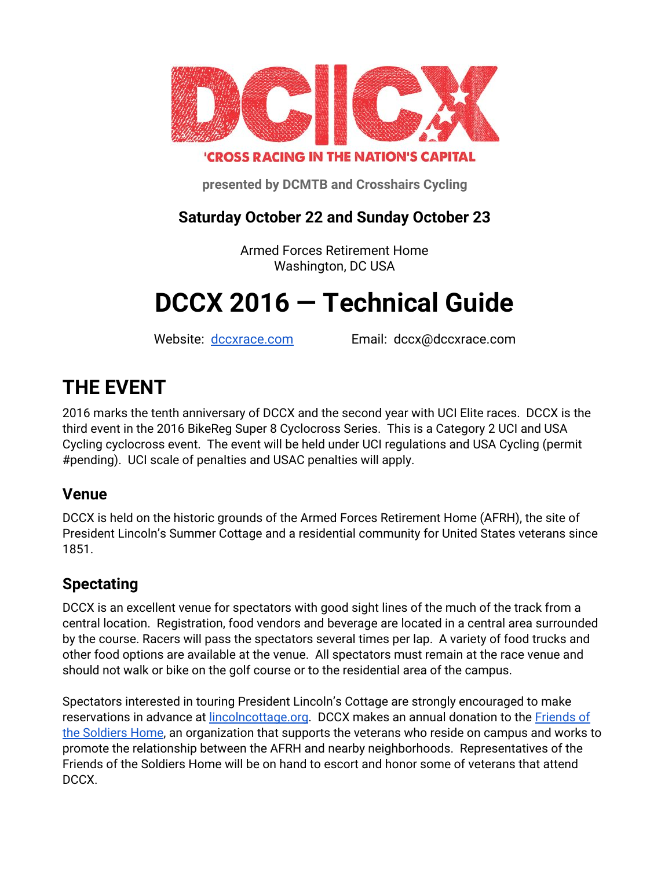

### **'CROSS RACING IN THE NATION'S CAPITAL**

**presented by DCMTB and Crosshairs Cycling**

#### **Saturday October 22 and Sunday October 23**

Armed Forces Retirement Home Washington, DC USA

# **DCCX 2016 — Technical Guide**

Website: [dccxrace.com](https://dccxrace.com/) Email: dccx@dccxrace.com

## **THE EVENT**

2016 marks the tenth anniversary of DCCX and the second year with UCI Elite races. DCCX is the third event in the 2016 BikeReg Super 8 Cyclocross Series. This is a Category 2 UCI and USA Cycling cyclocross event. The event will be held under UCI regulations and USA Cycling (permit #pending). UCI scale of penalties and USAC penalties will apply.

#### **Venue**

DCCX is held on the historic grounds of the Armed Forces Retirement Home (AFRH), the site of President Lincoln's Summer Cottage and a residential community for United States veterans since 1851.

#### **Spectating**

DCCX is an excellent venue for spectators with good sight lines of the much of the track from a central location. Registration, food vendors and beverage are located in a central area surrounded by the course. Racers will pass the spectators several times per lap. A variety of food trucks and other food options are available at the venue. All spectators must remain at the race venue and should not walk or bike on the golf course or to the residential area of the campus.

Spectators interested in touring President Lincoln's Cottage are strongly encouraged to make reservations in advance at [lincolncottage.org](http://lincolncottage.org/). DCCX makes an annual donation to the [Friends of](https://friendsofsoldiers.org/) [the Soldiers Home](https://friendsofsoldiers.org/), an organization that supports the veterans who reside on campus and works to promote the relationship between the AFRH and nearby neighborhoods. Representatives of the Friends of the Soldiers Home will be on hand to escort and honor some of veterans that attend DCCX.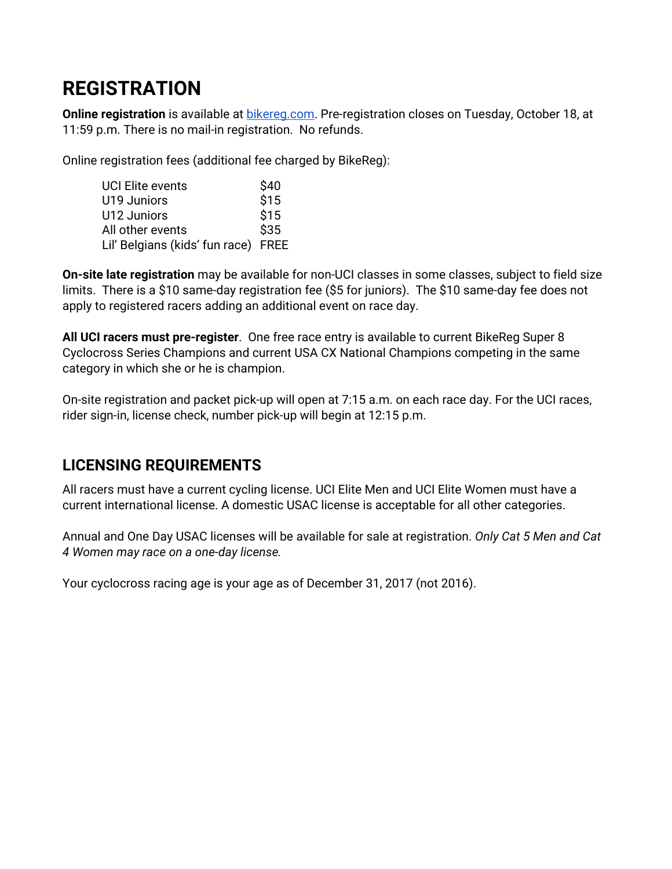## **REGISTRATION**

**Online registration** is available at **bikereg.com.** Pre-registration closes on Tuesday, October 18, at 11:59 p.m. There is no mail-in registration. No refunds.

Online registration fees (additional fee charged by BikeReg):

| <b>UCI Elite events</b>             | \$40 |
|-------------------------------------|------|
| U19 Juniors                         | \$15 |
| U12 Juniors                         | \$15 |
| All other events                    | \$35 |
| Lil' Belgians (kids' fun race) FREE |      |

**On-site late registration** may be available for non-UCI classes in some classes, subject to field size limits. There is a \$10 same-day registration fee (\$5 for juniors). The \$10 same-day fee does not apply to registered racers adding an additional event on race day.

**All UCI racers must pre-register**. One free race entry is available to current BikeReg Super 8 Cyclocross Series Champions and current USA CX National Champions competing in the same category in which she or he is champion.

On-site registration and packet pick-up will open at 7:15 a.m. on each race day. For the UCI races, rider sign-in, license check, number pick-up will begin at 12:15 p.m.

### **LICENSING REQUIREMENTS**

All racers must have a current cycling license. UCI Elite Men and UCI Elite Women must have a current international license. A domestic USAC license is acceptable for all other categories.

Annual and One Day USAC licenses will be available for sale at registration. *Only Cat 5 Men and Cat 4 Women may race on a one-day license.*

Your cyclocross racing age is your age as of December 31, 2017 (not 2016).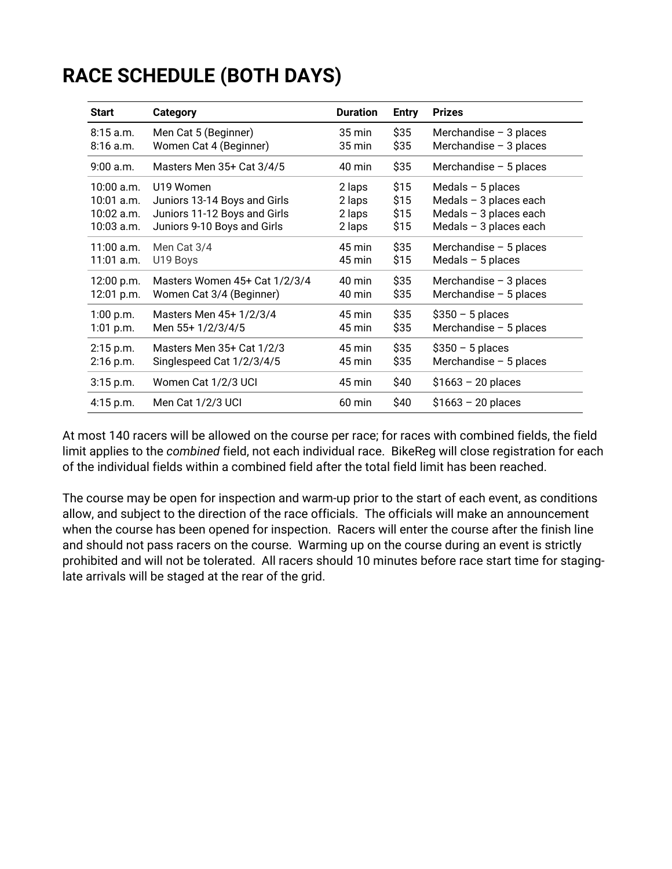## **RACE SCHEDULE (BOTH DAYS)**

| <b>Start</b> | <b>Category</b>               | <b>Duration</b> | <b>Entry</b> | <b>Prizes</b>            |
|--------------|-------------------------------|-----------------|--------------|--------------------------|
| $8:15$ a.m.  | Men Cat 5 (Beginner)          | 35 min          | \$35         | Merchandise $-3$ places  |
| $8:16$ a.m.  | Women Cat 4 (Beginner)        | 35 min          | \$35         | Merchandise $-3$ places  |
| $9:00$ a.m.  | Masters Men 35+ Cat 3/4/5     | 40 min          | \$35         | Merchandise $-5$ places  |
| $10:00$ a.m. | U19 Women                     | 2 laps          | \$15         | Medals $-5$ places       |
| 10:01 a.m.   | Juniors 13-14 Boys and Girls  | 2 laps          | \$15         | Medals $-$ 3 places each |
| 10:02 a.m.   | Juniors 11-12 Boys and Girls  | 2 laps          | \$15         | Medals $-$ 3 places each |
| 10:03 a.m.   | Juniors 9-10 Boys and Girls   | 2 laps          | \$15         | Medals $-$ 3 places each |
| 11:00 a.m.   | Men Cat 3/4                   | 45 min          | \$35         | Merchandise $-5$ places  |
| $11:01$ a.m. | U19 Boys                      | 45 min          | \$15         | Medals $-5$ places       |
| 12:00 p.m.   | Masters Women 45+ Cat 1/2/3/4 | 40 min          | \$35         | Merchandise $-3$ places  |
| 12:01 p.m.   | Women Cat 3/4 (Beginner)      | 40 min          | \$35         | Merchandise $-5$ places  |
| 1:00 p.m.    | Masters Men 45+ 1/2/3/4       | 45 min          | \$35         | $$350 - 5$ places        |
| 1:01 p.m.    | Men 55+ 1/2/3/4/5             | 45 min          | \$35         | Merchandise $-5$ places  |
| 2:15 p.m.    | Masters Men 35+ Cat 1/2/3     | 45 min          | \$35         | $$350 - 5$ places        |
| 2:16 p.m.    | Singlespeed Cat 1/2/3/4/5     | 45 min          | \$35         | Merchandise $-5$ places  |
| $3:15$ p.m.  | Women Cat 1/2/3 UCI           | 45 min          | \$40         | $$1663 - 20$ places      |
| $4:15$ p.m.  | Men Cat 1/2/3 UCI             | 60 min          | \$40         | $$1663 - 20$ places      |

At most 140 racers will be allowed on the course per race; for races with combined fields, the field limit applies to the *combined* field, not each individual race. BikeReg will close registration for each of the individual fields within a combined field after the total field limit has been reached.

The course may be open for inspection and warm-up prior to the start of each event, as conditions allow, and subject to the direction of the race officials. The officials will make an announcement when the course has been opened for inspection. Racers will enter the course after the finish line and should not pass racers on the course. Warming up on the course during an event is strictly prohibited and will not be tolerated. All racers should 10 minutes before race start time for staginglate arrivals will be staged at the rear of the grid.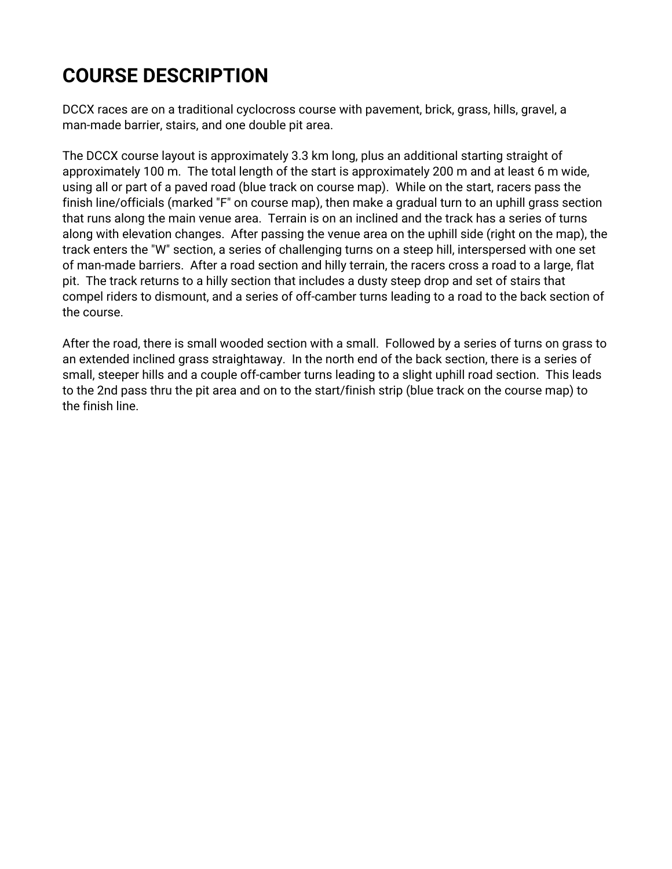## **COURSE DESCRIPTION**

DCCX races are on a traditional cyclocross course with pavement, brick, grass, hills, gravel, a man-made barrier, stairs, and one double pit area.

The DCCX course layout is approximately 3.3 km long, plus an additional starting straight of approximately 100 m. The total length of the start is approximately 200 m and at least 6 m wide, using all or part of a paved road (blue track on course map). While on the start, racers pass the finish line/officials (marked "F" on course map), then make a gradual turn to an uphill grass section that runs along the main venue area. Terrain is on an inclined and the track has a series of turns along with elevation changes. After passing the venue area on the uphill side (right on the map), the track enters the "W" section, a series of challenging turns on a steep hill, interspersed with one set of man-made barriers. After a road section and hilly terrain, the racers cross a road to a large, flat pit. The track returns to a hilly section that includes a dusty steep drop and set of stairs that compel riders to dismount, and a series of off-camber turns leading to a road to the back section of the course.

After the road, there is small wooded section with a small. Followed by a series of turns on grass to an extended inclined grass straightaway. In the north end of the back section, there is a series of small, steeper hills and a couple off-camber turns leading to a slight uphill road section. This leads to the 2nd pass thru the pit area and on to the start/finish strip (blue track on the course map) to the finish line.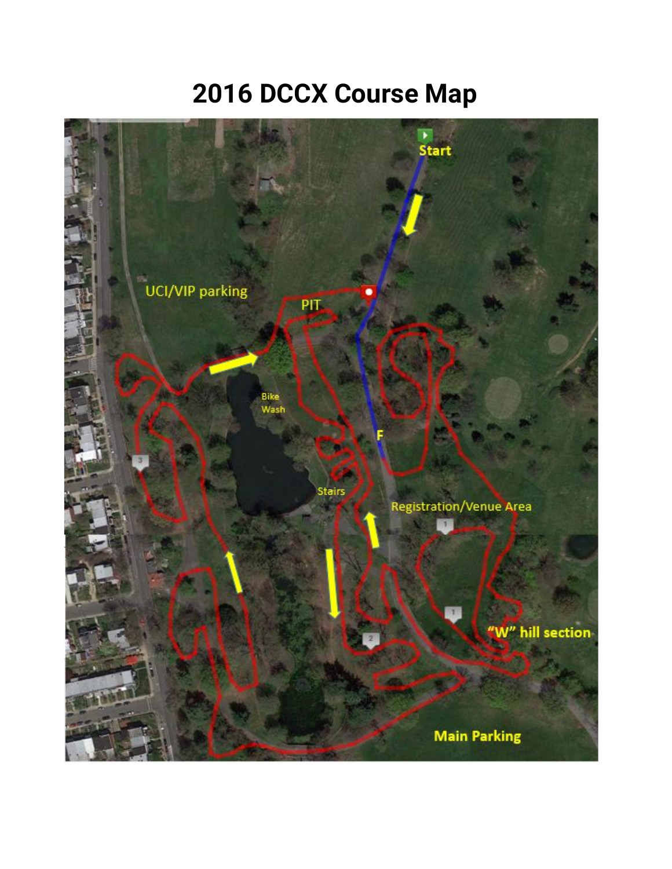# **2016 DCCX Course Map**

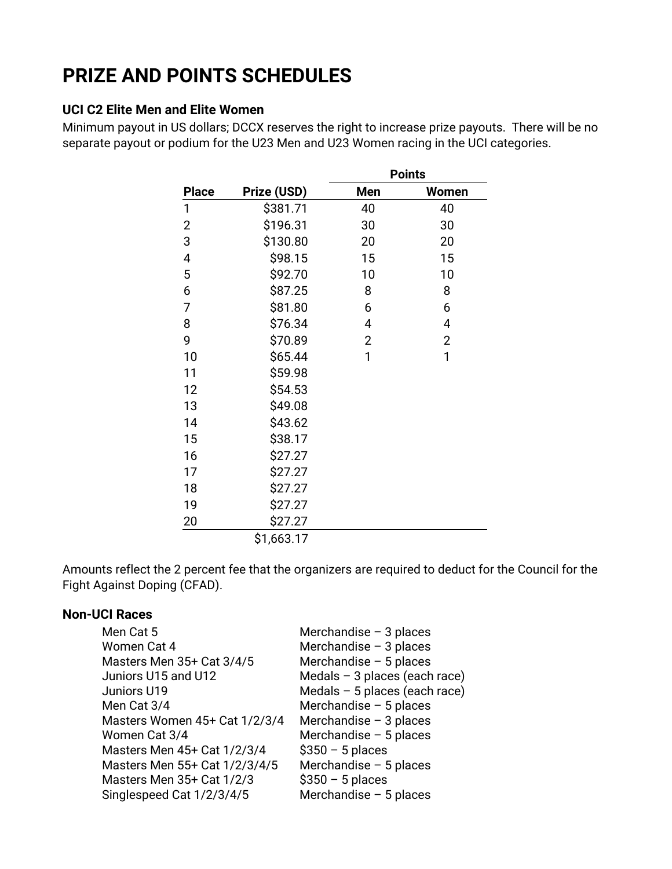## **PRIZE AND POINTS SCHEDULES**

#### **UCI C2 Elite Men and Elite Women**

Minimum payout in US dollars; DCCX reserves the right to increase prize payouts. There will be no separate payout or podium for the U23 Men and U23 Women racing in the UCI categories.

|                |             | <b>Points</b>  |                |  |
|----------------|-------------|----------------|----------------|--|
| <b>Place</b>   | Prize (USD) | Men            | Women          |  |
| 1              | \$381.71    | 40             | 40             |  |
| $\overline{2}$ | \$196.31    | 30             | 30             |  |
| 3              | \$130.80    | 20             | 20             |  |
| 4              | \$98.15     | 15             | 15             |  |
| 5              | \$92.70     | 10             | 10             |  |
| 6              | \$87.25     | 8              | 8              |  |
| 7              | \$81.80     | 6              | 6              |  |
| 8              | \$76.34     | 4              | 4              |  |
| 9              | \$70.89     | $\overline{2}$ | $\overline{2}$ |  |
| 10             | \$65.44     | 1              | 1              |  |
| 11             | \$59.98     |                |                |  |
| 12             | \$54.53     |                |                |  |
| 13             | \$49.08     |                |                |  |
| 14             | \$43.62     |                |                |  |
| 15             | \$38.17     |                |                |  |
| 16             | \$27.27     |                |                |  |
| 17             | \$27.27     |                |                |  |
| 18             | \$27.27     |                |                |  |
| 19             | \$27.27     |                |                |  |
| 20             | \$27.27     |                |                |  |
|                | \$1,663.17  |                |                |  |

Amounts reflect the 2 percent fee that the organizers are required to deduct for the Council for the Fight Against Doping (CFAD).

#### **Non-UCI Races**

| Men Cat 5                     | Merchandise $-3$ places         |
|-------------------------------|---------------------------------|
| Women Cat 4                   | Merchandise $-3$ places         |
| Masters Men 35+ Cat 3/4/5     | Merchandise $-5$ places         |
| Juniors U15 and U12           | Medals $-$ 3 places (each race) |
| Juniors U19                   | Medals $-5$ places (each race)  |
| Men Cat 3/4                   | Merchandise $-5$ places         |
| Masters Women 45+ Cat 1/2/3/4 | Merchandise $-3$ places         |
| Women Cat 3/4                 | Merchandise $-5$ places         |
| Masters Men 45+ Cat 1/2/3/4   | $$350 - 5$ places               |
| Masters Men 55+ Cat 1/2/3/4/5 | Merchandise $-5$ places         |
| Masters Men 35+ Cat 1/2/3     | $$350 - 5$ places               |
| Singlespeed Cat 1/2/3/4/5     | Merchandise $-5$ places         |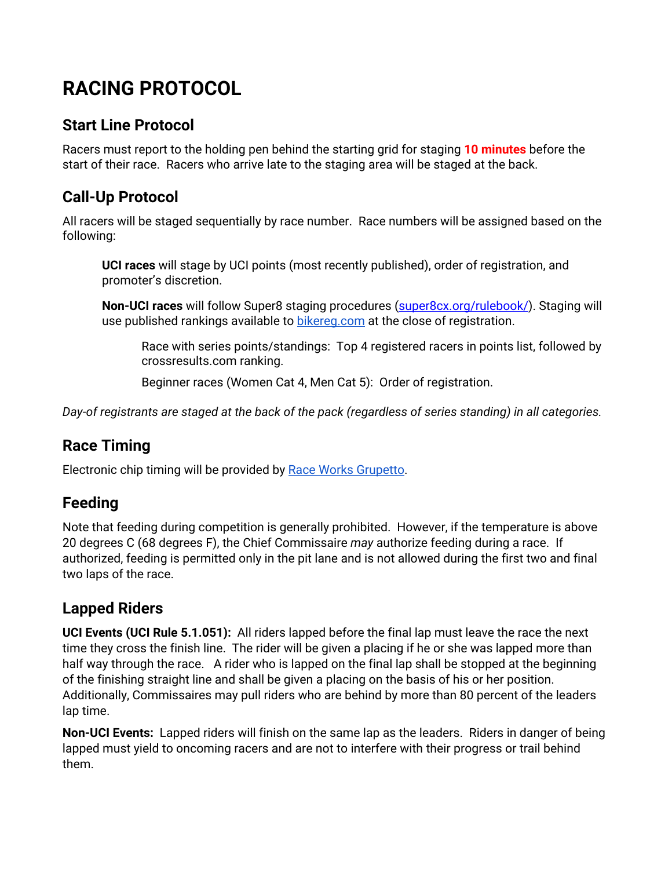## **RACING PROTOCOL**

#### **Start Line Protocol**

Racers must report to the holding pen behind the starting grid for staging **10 minutes** before the start of their race. Racers who arrive late to the staging area will be staged at the back.

### **Call-Up Protocol**

All racers will be staged sequentially by race number. Race numbers will be assigned based on the following:

**UCI races** will stage by UCI points (most recently published), order of registration, and promoter's discretion.

**Non-UCI races** will follow Super8 staging procedures [\(super8cx.org/rulebook/\)](http://www.super8cx.org/rulebook/). Staging will use published rankings available to [bikereg.com](http://bikereg.com/) at the close of registration.

Race with series points/standings: Top 4 registered racers in points list, followed by crossresults.com ranking.

Beginner races (Women Cat 4, Men Cat 5): Order of registration.

*Day-of registrants are staged at the back of the pack (regardless of series standing) in all categories.*

### **Race Timing**

Electronic chip timing will be provided by [Race Works Grupetto.](http://www.raceworkstiming.com/)

### **Feeding**

Note that feeding during competition is generally prohibited. However, if the temperature is above 20 degrees C (68 degrees F), the Chief Commissaire *may* authorize feeding during a race. If authorized, feeding is permitted only in the pit lane and is not allowed during the first two and final two laps of the race.

### **Lapped Riders**

**UCI Events (UCI Rule 5.1.051):** All riders lapped before the final lap must leave the race the next time they cross the finish line. The rider will be given a placing if he or she was lapped more than half way through the race. A rider who is lapped on the final lap shall be stopped at the beginning of the finishing straight line and shall be given a placing on the basis of his or her position. Additionally, Commissaires may pull riders who are behind by more than 80 percent of the leaders lap time.

**Non-UCI Events:** Lapped riders will finish on the same lap as the leaders. Riders in danger of being lapped must yield to oncoming racers and are not to interfere with their progress or trail behind them.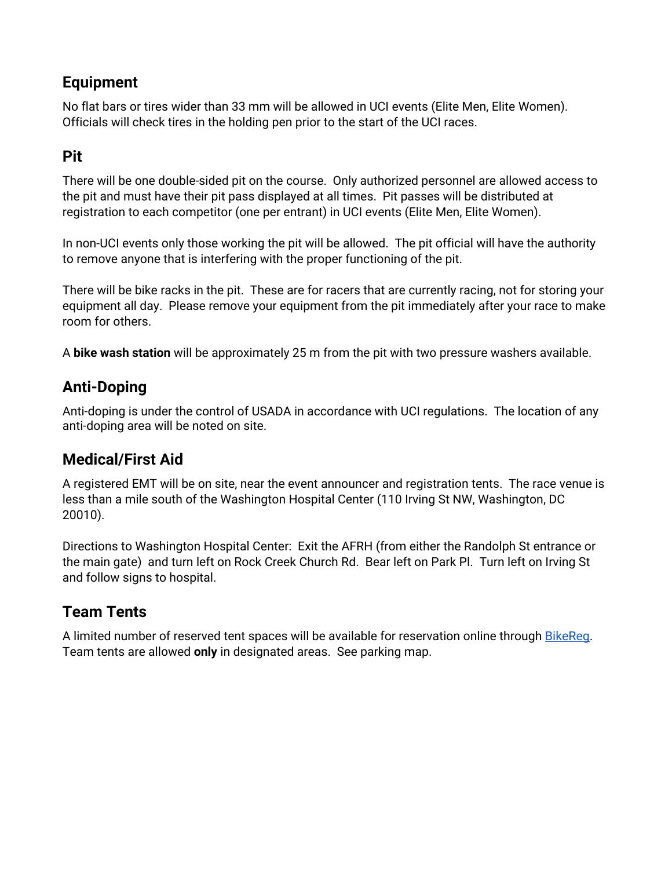#### **Equipment**

No flat bars or tires wider than 33 mm will be allowed in UCI events (Elite Men, Elite Women). Officials will check tires in the holding pen prior to the start of the UCI races.

#### **Pit**

There will be one double-sided pit on the course. Only authorized personnel are allowed access to the pit and must have their pit pass displayed at all times. Pit passes will be distributed at registration to each competitor (one per entrant) in UCI events (Elite Men, Elite Women).

In non-UCI events only those working the pit will be allowed. The pit official will have the authority to remove anyone that is interfering with the proper functioning of the pit.

There will be bike racks in the pit. These are for racers that are currently racing, not for storing your equipment all day. Please remove your equipment from the pit immediately after your race to make room for others.

A **bike wash station** will be approximately 25 m from the pit with two pressure washers available.

#### **Anti-Doping**

Anti-doping is under the control of USADA in accordance with UCI regulations. The location of any anti-doping area will be noted on site.

#### **Medical/First Aid**

A registered EMT will be on site, near the event announcer and registration tents. The race venue is less than a mile south of the Washington Hospital Center (110 Irving St NW, Washington, DC 20010).

Directions to Washington Hospital Center: Exit the AFRH (from either the Randolph St entrance or the main gate) and turn left on Rock Creek Church Rd. Bear left on Park Pl. Turn left on Irving St and follow signs to hospital.

### **Team Tents**

A limited number of reserved tent spaces will be available for reservation online through [BikeReg.](http://bikereg.com/dccx2016) Team tents are allowed **only** in designated areas. See parking map.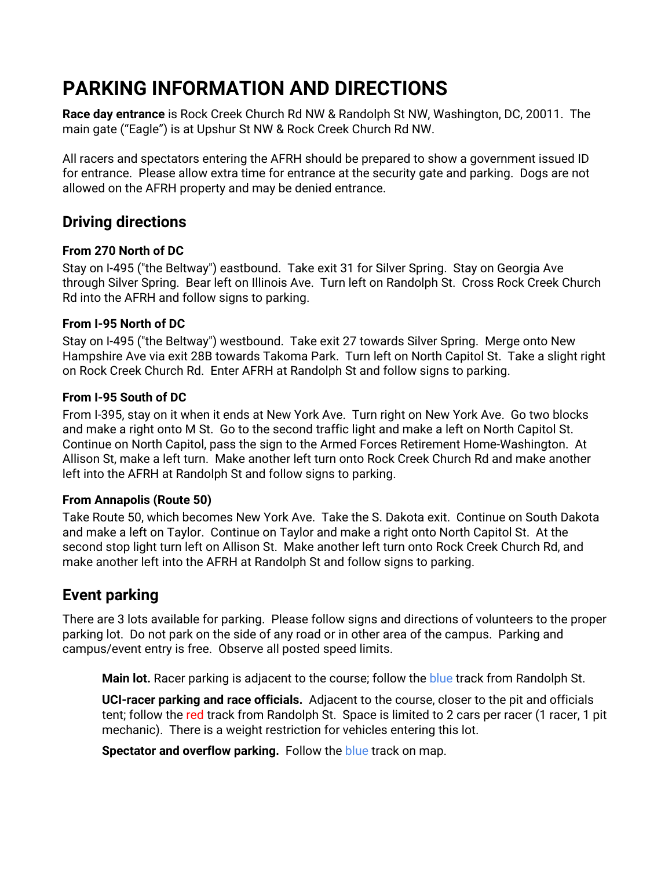## **PARKING INFORMATION AND DIRECTIONS**

**Race day entrance** is Rock Creek Church Rd NW & Randolph St NW, Washington, DC, 20011. The main gate ("Eagle") is at Upshur St NW & Rock Creek Church Rd NW.

All racers and spectators entering the AFRH should be prepared to show a government issued ID for entrance. Please allow extra time for entrance at the security gate and parking. Dogs are not allowed on the AFRH property and may be denied entrance.

#### **Driving directions**

#### **From 270 North of DC**

Stay on I-495 ("the Beltway") eastbound. Take exit 31 for Silver Spring. Stay on Georgia Ave through Silver Spring. Bear left on Illinois Ave. Turn left on Randolph St. Cross Rock Creek Church Rd into the AFRH and follow signs to parking.

#### **From I-95 North of DC**

Stay on I-495 ("the Beltway") westbound. Take exit 27 towards Silver Spring. Merge onto New Hampshire Ave via exit 28B towards Takoma Park. Turn left on North Capitol St. Take a slight right on Rock Creek Church Rd. Enter AFRH at Randolph St and follow signs to parking.

#### **From I-95 South of DC**

From I-395, stay on it when it ends at New York Ave. Turn right on New York Ave. Go two blocks and make a right onto M St. Go to the second traffic light and make a left on North Capitol St. Continue on North Capitol, pass the sign to the Armed Forces Retirement Home-Washington. At Allison St, make a left turn. Make another left turn onto Rock Creek Church Rd and make another left into the AFRH at Randolph St and follow signs to parking.

#### **From Annapolis (Route 50)**

Take Route 50, which becomes New York Ave. Take the S. Dakota exit. Continue on South Dakota and make a left on Taylor. Continue on Taylor and make a right onto North Capitol St. At the second stop light turn left on Allison St. Make another left turn onto Rock Creek Church Rd, and make another left into the AFRH at Randolph St and follow signs to parking.

#### **Event parking**

There are 3 lots available for parking. Please follow signs and directions of volunteers to the proper parking lot. Do not park on the side of any road or in other area of the campus. Parking and campus/event entry is free. Observe all posted speed limits.

**Main lot.** Racer parking is adjacent to the course; follow the blue track from Randolph St.

**UCI-racer parking and race officials.** Adjacent to the course, closer to the pit and officials tent; follow the red track from Randolph St. Space is limited to 2 cars per racer (1 racer, 1 pit mechanic). There is a weight restriction for vehicles entering this lot.

**Spectator and overflow parking.** Follow the **blue** track on map.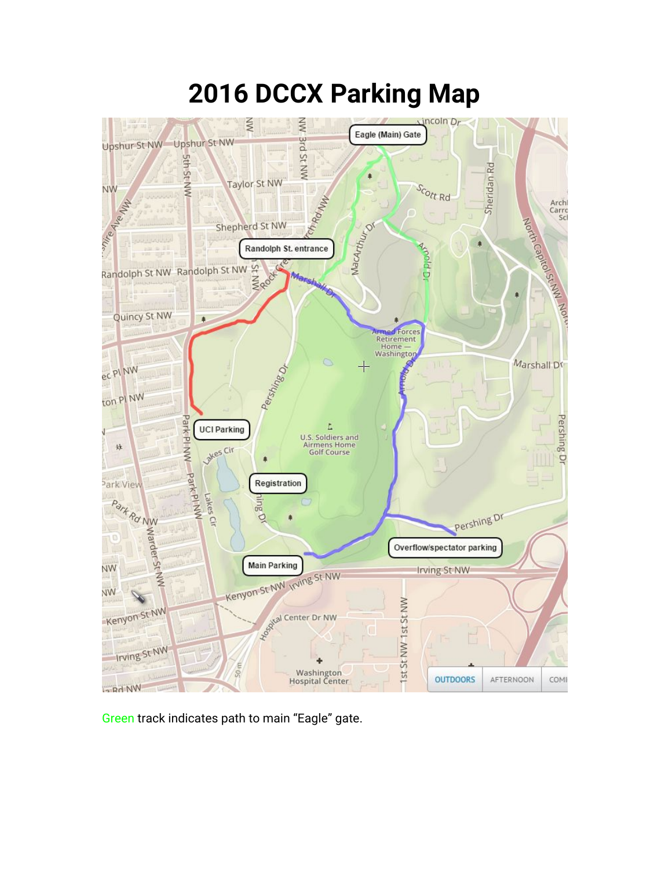# **2016 DCCX Parking Map**



Green track indicates path to main "Eagle" gate.